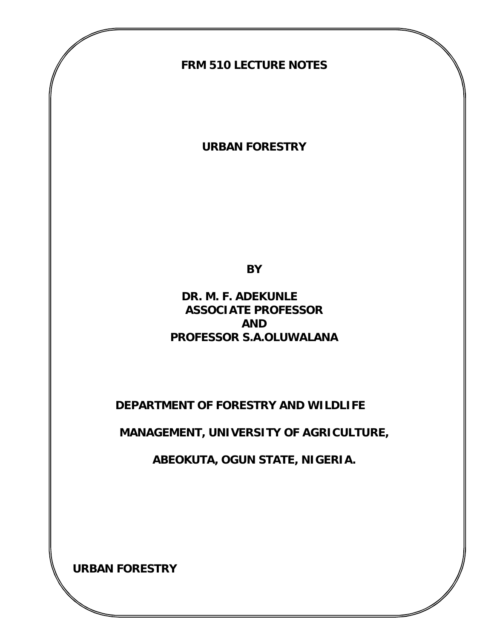### **FRM 510 LECTURE NOTES**

**URBAN FORESTRY**

**BY**

 **DR. M. F. ADEKUNLE ASSOCIATE PROFESSOR AND PROFESSOR S.A.OLUWALANA**

 **DEPARTMENT OF FORESTRY AND WILDLIFE**

**MANAGEMENT, UNIVERSITY OF AGRICULTURE,** 

**ABEOKUTA, OGUN STATE, NIGERIA.**

**URBAN FORESTRY**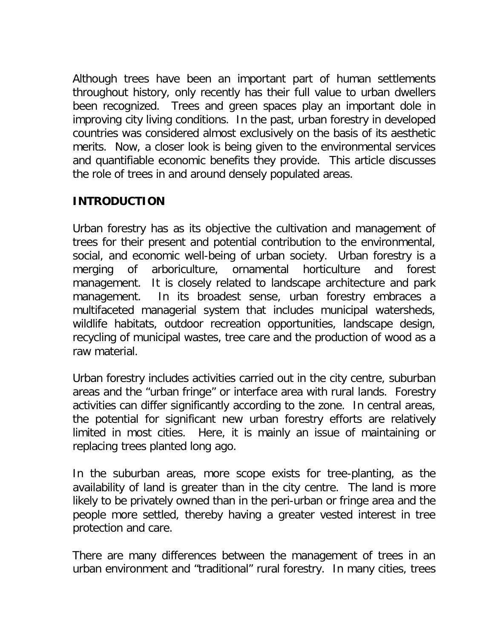Although trees have been an important part of human settlements throughout history, only recently has their full value to urban dwellers been recognized. Trees and green spaces play an important dole in improving city living conditions. In the past, urban forestry in developed countries was considered almost exclusively on the basis of its aesthetic merits. Now, a closer look is being given to the environmental services and quantifiable economic benefits they provide. This article discusses the role of trees in and around densely populated areas.

### **INTRODUCTION**

Urban forestry has as its objective the cultivation and management of trees for their present and potential contribution to the environmental, social, and economic well-being of urban society. Urban forestry is a merging of arboriculture, ornamental horticulture and forest management. It is closely related to landscape architecture and park management. In its broadest sense, urban forestry embraces a multifaceted managerial system that includes municipal watersheds, wildlife habitats, outdoor recreation opportunities, landscape design, recycling of municipal wastes, tree care and the production of wood as a raw material.

Urban forestry includes activities carried out in the city centre, suburban areas and the "urban fringe" or interface area with rural lands. Forestry activities can differ significantly according to the zone. In central areas, the potential for significant new urban forestry efforts are relatively limited in most cities. Here, it is mainly an issue of maintaining or replacing trees planted long ago.

In the suburban areas, more scope exists for tree-planting, as the availability of land is greater than in the city centre. The land is more likely to be privately owned than in the peri-urban or fringe area and the people more settled, thereby having a greater vested interest in tree protection and care.

There are many differences between the management of trees in an urban environment and "traditional" rural forestry. In many cities, trees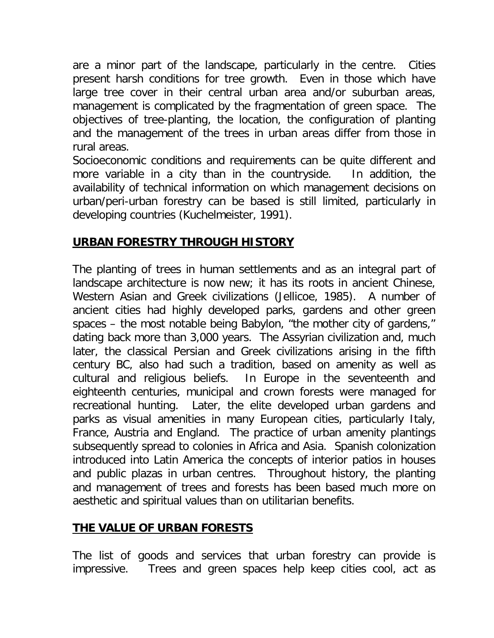are a minor part of the landscape, particularly in the centre. Cities present harsh conditions for tree growth. Even in those which have large tree cover in their central urban area and/or suburban areas, management is complicated by the fragmentation of green space. The objectives of tree-planting, the location, the configuration of planting and the management of the trees in urban areas differ from those in rural areas.

Socioeconomic conditions and requirements can be quite different and more variable in a city than in the countryside. In addition, the availability of technical information on which management decisions on urban/peri-urban forestry can be based is still limited, particularly in developing countries (Kuchelmeister, 1991).

# **URBAN FORESTRY THROUGH HISTORY**

The planting of trees in human settlements and as an integral part of landscape architecture is now new; it has its roots in ancient Chinese, Western Asian and Greek civilizations (Jellicoe, 1985). A number of ancient cities had highly developed parks, gardens and other green spaces – the most notable being Babylon, "the mother city of gardens," dating back more than 3,000 years. The Assyrian civilization and, much later, the classical Persian and Greek civilizations arising in the fifth century BC, also had such a tradition, based on amenity as well as cultural and religious beliefs. In Europe in the seventeenth and eighteenth centuries, municipal and crown forests were managed for recreational hunting. Later, the elite developed urban gardens and parks as visual amenities in many European cities, particularly Italy, France, Austria and England. The practice of urban amenity plantings subsequently spread to colonies in Africa and Asia. Spanish colonization introduced into Latin America the concepts of interior patios in houses and public plazas in urban centres. Throughout history, the planting and management of trees and forests has been based much more on aesthetic and spiritual values than on utilitarian benefits.

# **THE VALUE OF URBAN FORESTS**

The list of goods and services that urban forestry can provide is impressive. Trees and green spaces help keep cities cool, act as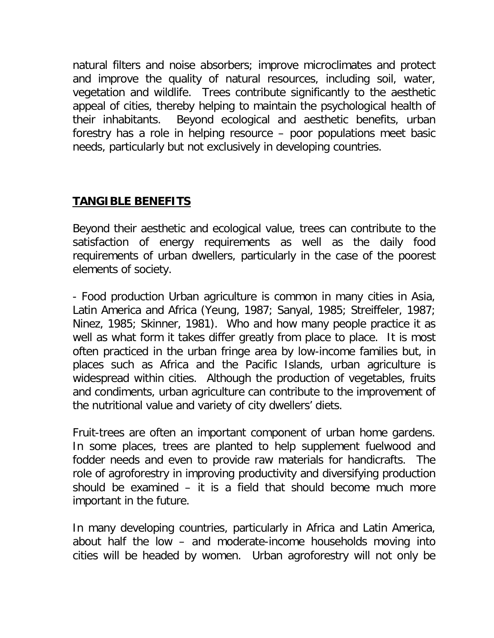natural filters and noise absorbers; improve microclimates and protect and improve the quality of natural resources, including soil, water, vegetation and wildlife. Trees contribute significantly to the aesthetic appeal of cities, thereby helping to maintain the psychological health of their inhabitants. Beyond ecological and aesthetic benefits, urban forestry has a role in helping resource – poor populations meet basic needs, particularly but not exclusively in developing countries.

## **TANGIBLE BENEFITS**

Beyond their aesthetic and ecological value, trees can contribute to the satisfaction of energy requirements as well as the daily food requirements of urban dwellers, particularly in the case of the poorest elements of society.

- Food production Urban agriculture is common in many cities in Asia, Latin America and Africa (Yeung, 1987; Sanyal, 1985; Streiffeler, 1987; Ninez, 1985; Skinner, 1981). Who and how many people practice it as well as what form it takes differ greatly from place to place. It is most often practiced in the urban fringe area by low-income families but, in places such as Africa and the Pacific Islands, urban agriculture is widespread within cities. Although the production of vegetables, fruits and condiments, urban agriculture can contribute to the improvement of the nutritional value and variety of city dwellers' diets.

Fruit-trees are often an important component of urban home gardens. In some places, trees are planted to help supplement fuelwood and fodder needs and even to provide raw materials for handicrafts. The role of agroforestry in improving productivity and diversifying production should be examined – it is a field that should become much more important in the future.

In many developing countries, particularly in Africa and Latin America, about half the low – and moderate-income households moving into cities will be headed by women. Urban agroforestry will not only be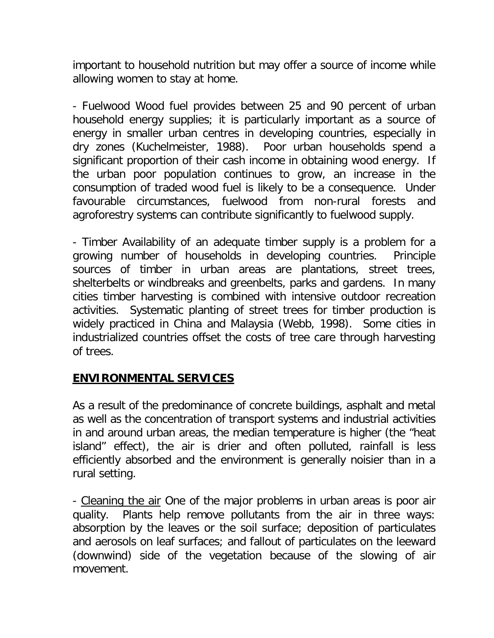important to household nutrition but may offer a source of income while allowing women to stay at home.

- Fuelwood Wood fuel provides between 25 and 90 percent of urban household energy supplies; it is particularly important as a source of energy in smaller urban centres in developing countries, especially in dry zones (Kuchelmeister, 1988). Poor urban households spend a significant proportion of their cash income in obtaining wood energy. If the urban poor population continues to grow, an increase in the consumption of traded wood fuel is likely to be a consequence. Under favourable circumstances, fuelwood from non-rural forests and agroforestry systems can contribute significantly to fuelwood supply.

- Timber Availability of an adequate timber supply is a problem for a growing number of households in developing countries. Principle sources of timber in urban areas are plantations, street trees, shelterbelts or windbreaks and greenbelts, parks and gardens. In many cities timber harvesting is combined with intensive outdoor recreation activities. Systematic planting of street trees for timber production is widely practiced in China and Malaysia (Webb, 1998). Some cities in industrialized countries offset the costs of tree care through harvesting of trees.

## **ENVIRONMENTAL SERVICES**

As a result of the predominance of concrete buildings, asphalt and metal as well as the concentration of transport systems and industrial activities in and around urban areas, the median temperature is higher (the "heat island" effect), the air is drier and often polluted, rainfall is less efficiently absorbed and the environment is generally noisier than in a rural setting.

- Cleaning the air One of the major problems in urban areas is poor air quality. Plants help remove pollutants from the air in three ways: absorption by the leaves or the soil surface; deposition of particulates and aerosols on leaf surfaces; and fallout of particulates on the leeward (downwind) side of the vegetation because of the slowing of air movement.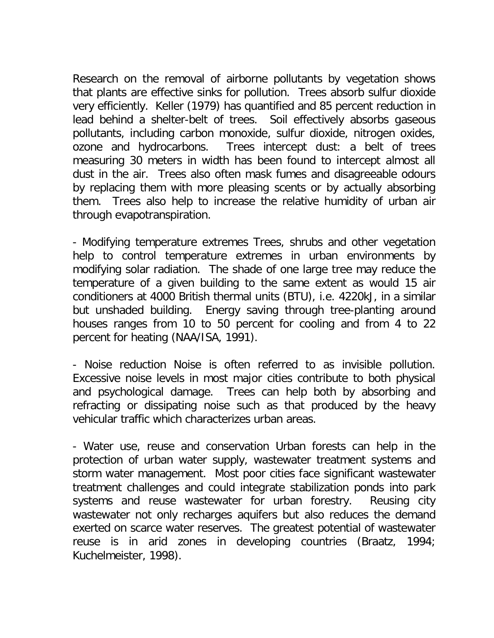Research on the removal of airborne pollutants by vegetation shows that plants are effective sinks for pollution. Trees absorb sulfur dioxide very efficiently. Keller (1979) has quantified and 85 percent reduction in lead behind a shelter-belt of trees. Soil effectively absorbs gaseous pollutants, including carbon monoxide, sulfur dioxide, nitrogen oxides, ozone and hydrocarbons. Trees intercept dust: a belt of trees measuring 30 meters in width has been found to intercept almost all dust in the air. Trees also often mask fumes and disagreeable odours by replacing them with more pleasing scents or by actually absorbing them. Trees also help to increase the relative humidity of urban air through evapotranspiration.

- Modifying temperature extremes Trees, shrubs and other vegetation help to control temperature extremes in urban environments by modifying solar radiation. The shade of one large tree may reduce the temperature of a given building to the same extent as would 15 air conditioners at 4000 British thermal units (BTU), i.e. 4220kJ, in a similar but unshaded building. Energy saving through tree-planting around houses ranges from 10 to 50 percent for cooling and from 4 to 22 percent for heating (NAA/ISA, 1991).

- Noise reduction Noise is often referred to as invisible pollution. Excessive noise levels in most major cities contribute to both physical and psychological damage. Trees can help both by absorbing and refracting or dissipating noise such as that produced by the heavy vehicular traffic which characterizes urban areas.

- Water use, reuse and conservation Urban forests can help in the protection of urban water supply, wastewater treatment systems and storm water management. Most poor cities face significant wastewater treatment challenges and could integrate stabilization ponds into park systems and reuse wastewater for urban forestry. Reusing city wastewater not only recharges aquifers but also reduces the demand exerted on scarce water reserves. The greatest potential of wastewater reuse is in arid zones in developing countries (Braatz, 1994; Kuchelmeister, 1998).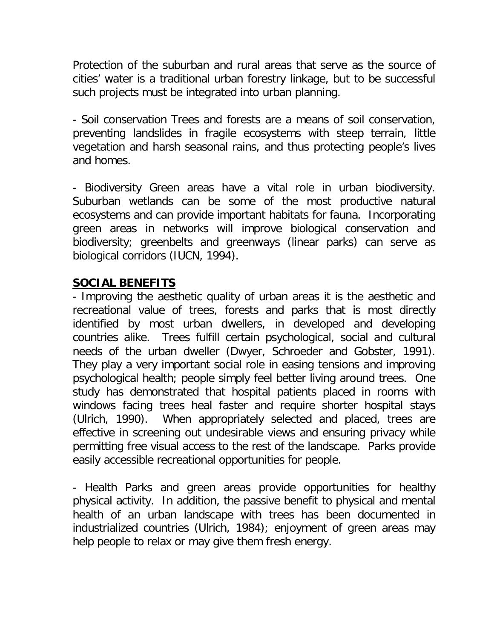Protection of the suburban and rural areas that serve as the source of cities' water is a traditional urban forestry linkage, but to be successful such projects must be integrated into urban planning.

- Soil conservation Trees and forests are a means of soil conservation, preventing landslides in fragile ecosystems with steep terrain, little vegetation and harsh seasonal rains, and thus protecting people's lives and homes.

- Biodiversity Green areas have a vital role in urban biodiversity. Suburban wetlands can be some of the most productive natural ecosystems and can provide important habitats for fauna. Incorporating green areas in networks will improve biological conservation and biodiversity; greenbelts and greenways (linear parks) can serve as biological corridors (IUCN, 1994).

### **SOCIAL BENEFITS**

- Improving the aesthetic quality of urban areas it is the aesthetic and recreational value of trees, forests and parks that is most directly identified by most urban dwellers, in developed and developing countries alike. Trees fulfill certain psychological, social and cultural needs of the urban dweller (Dwyer, Schroeder and Gobster, 1991). They play a very important social role in easing tensions and improving psychological health; people simply feel better living around trees. One study has demonstrated that hospital patients placed in rooms with windows facing trees heal faster and require shorter hospital stays (Ulrich, 1990). When appropriately selected and placed, trees are effective in screening out undesirable views and ensuring privacy while permitting free visual access to the rest of the landscape. Parks provide easily accessible recreational opportunities for people.

- Health Parks and green areas provide opportunities for healthy physical activity. In addition, the passive benefit to physical and mental health of an urban landscape with trees has been documented in industrialized countries (Ulrich, 1984); enjoyment of green areas may help people to relax or may give them fresh energy.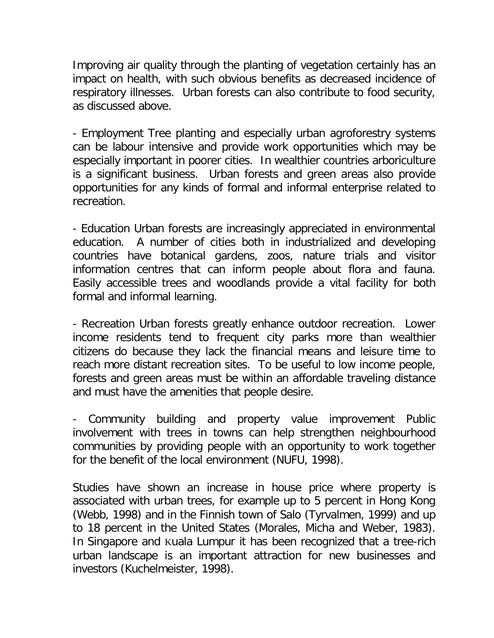Improving air quality through the planting of vegetation certainly has an impact on health, with such obvious benefits as decreased incidence of respiratory illnesses. Urban forests can also contribute to food security, as discussed above.

- Employment Tree planting and especially urban agroforestry systems can be labour intensive and provide work opportunities which may be especially important in poorer cities. In wealthier countries arboriculture is a significant business. Urban forests and green areas also provide opportunities for any kinds of formal and informal enterprise related to recreation.

- Education Urban forests are increasingly appreciated in environmental education. A number of cities both in industrialized and developing countries have botanical gardens, zoos, nature trials and visitor information centres that can inform people about flora and fauna. Easily accessible trees and woodlands provide a vital facility for both formal and informal learning.

- Recreation Urban forests greatly enhance outdoor recreation. Lower income residents tend to frequent city parks more than wealthier citizens do because they lack the financial means and leisure time to reach more distant recreation sites. To be useful to low income people, forests and green areas must be within an affordable traveling distance and must have the amenities that people desire.

- Community building and property value improvement Public involvement with trees in towns can help strengthen neighbourhood communities by providing people with an opportunity to work together for the benefit of the local environment (NUFU, 1998).

Studies have shown an increase in house price where property is associated with urban trees, for example up to 5 percent in Hong Kong (Webb, 1998) and in the Finnish town of Salo (Tyrvalmen, 1999) and up to 18 percent in the United States (Morales, Micha and Weber, 1983). In Singapore and Kuala Lumpur it has been recognized that a tree-rich urban landscape is an important attraction for new businesses and investors (Kuchelmeister, 1998).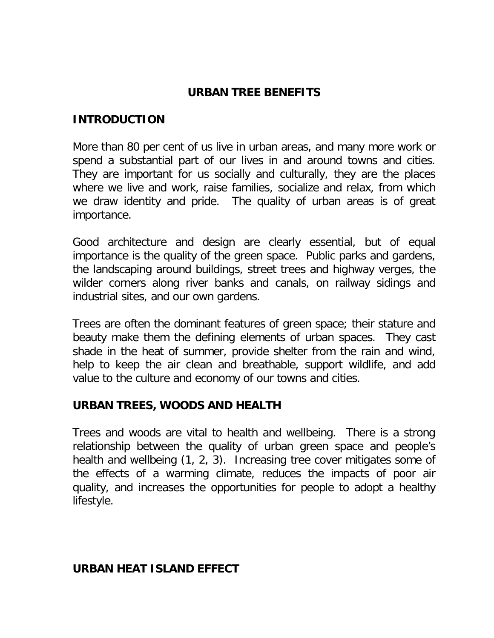### **URBAN TREE BENEFITS**

#### **INTRODUCTION**

More than 80 per cent of us live in urban areas, and many more work or spend a substantial part of our lives in and around towns and cities. They are important for us socially and culturally, they are the places where we live and work, raise families, socialize and relax, from which we draw identity and pride. The quality of urban areas is of great importance.

Good architecture and design are clearly essential, but of equal importance is the quality of the green space. Public parks and gardens, the landscaping around buildings, street trees and highway verges, the wilder corners along river banks and canals, on railway sidings and industrial sites, and our own gardens.

Trees are often the dominant features of green space; their stature and beauty make them the defining elements of urban spaces. They cast shade in the heat of summer, provide shelter from the rain and wind, help to keep the air clean and breathable, support wildlife, and add value to the culture and economy of our towns and cities.

### **URBAN TREES, WOODS AND HEALTH**

Trees and woods are vital to health and wellbeing. There is a strong relationship between the quality of urban green space and people's health and wellbeing (1, 2, 3). Increasing tree cover mitigates some of the effects of a warming climate, reduces the impacts of poor air quality, and increases the opportunities for people to adopt a healthy lifestyle.

### **URBAN HEAT ISLAND EFFECT**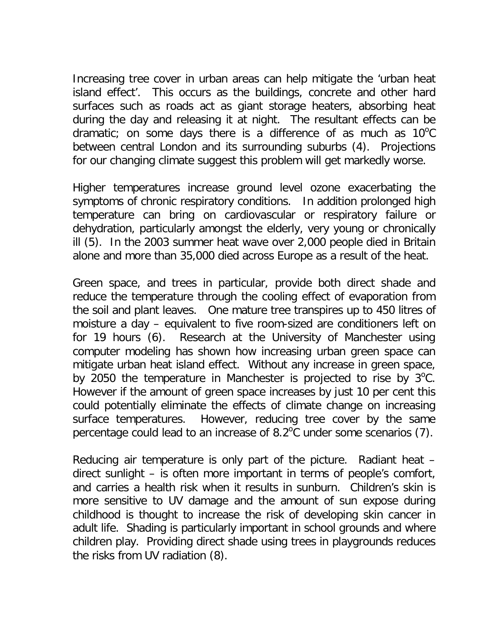Increasing tree cover in urban areas can help mitigate the 'urban heat island effect'. This occurs as the buildings, concrete and other hard surfaces such as roads act as giant storage heaters, absorbing heat during the day and releasing it at night. The resultant effects can be dramatic; on some days there is a difference of as much as  $10^{\circ}$ C between central London and its surrounding suburbs (4). Projections for our changing climate suggest this problem will get markedly worse.

Higher temperatures increase ground level ozone exacerbating the symptoms of chronic respiratory conditions. In addition prolonged high temperature can bring on cardiovascular or respiratory failure or dehydration, particularly amongst the elderly, very young or chronically ill (5). In the 2003 summer heat wave over 2,000 people died in Britain alone and more than 35,000 died across Europe as a result of the heat.

Green space, and trees in particular, provide both direct shade and reduce the temperature through the cooling effect of evaporation from the soil and plant leaves. One mature tree transpires up to 450 litres of moisture a day – equivalent to five room-sized are conditioners left on for 19 hours (6). Research at the University of Manchester using computer modeling has shown how increasing urban green space can mitigate urban heat island effect. Without any increase in green space, by 2050 the temperature in Manchester is projected to rise by  $3^{\circ}$ C. However if the amount of green space increases by just 10 per cent this could potentially eliminate the effects of climate change on increasing surface temperatures. However, reducing tree cover by the same percentage could lead to an increase of 8.2 $\degree$ C under some scenarios (7).

Reducing air temperature is only part of the picture. Radiant heat – direct sunlight – is often more important in terms of people's comfort, and carries a health risk when it results in sunburn. Children's skin is more sensitive to UV damage and the amount of sun expose during childhood is thought to increase the risk of developing skin cancer in adult life. Shading is particularly important in school grounds and where children play. Providing direct shade using trees in playgrounds reduces the risks from UV radiation (8).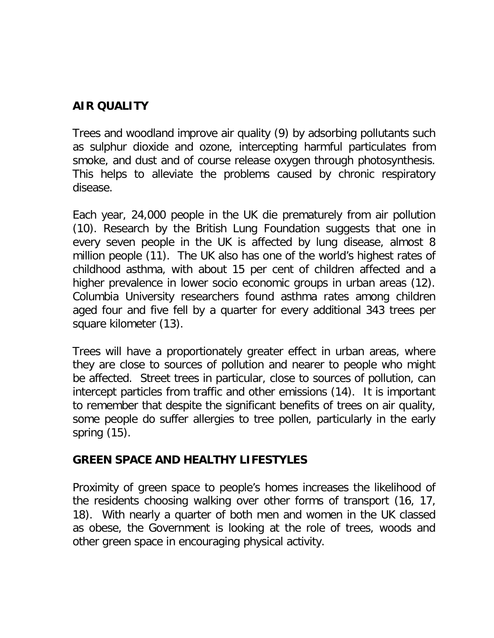## **AIR QUALITY**

Trees and woodland improve air quality (9) by adsorbing pollutants such as sulphur dioxide and ozone, intercepting harmful particulates from smoke, and dust and of course release oxygen through photosynthesis. This helps to alleviate the problems caused by chronic respiratory disease.

Each year, 24,000 people in the UK die prematurely from air pollution (10). Research by the British Lung Foundation suggests that one in every seven people in the UK is affected by lung disease, almost 8 million people (11). The UK also has one of the world's highest rates of childhood asthma, with about 15 per cent of children affected and a higher prevalence in lower socio economic groups in urban areas (12). Columbia University researchers found asthma rates among children aged four and five fell by a quarter for every additional 343 trees per square kilometer (13).

Trees will have a proportionately greater effect in urban areas, where they are close to sources of pollution and nearer to people who might be affected. Street trees in particular, close to sources of pollution, can intercept particles from traffic and other emissions (14). It is important to remember that despite the significant benefits of trees on air quality, some people do suffer allergies to tree pollen, particularly in the early spring (15).

### **GREEN SPACE AND HEALTHY LIFESTYLES**

Proximity of green space to people's homes increases the likelihood of the residents choosing walking over other forms of transport (16, 17, 18). With nearly a quarter of both men and women in the UK classed as obese, the Government is looking at the role of trees, woods and other green space in encouraging physical activity.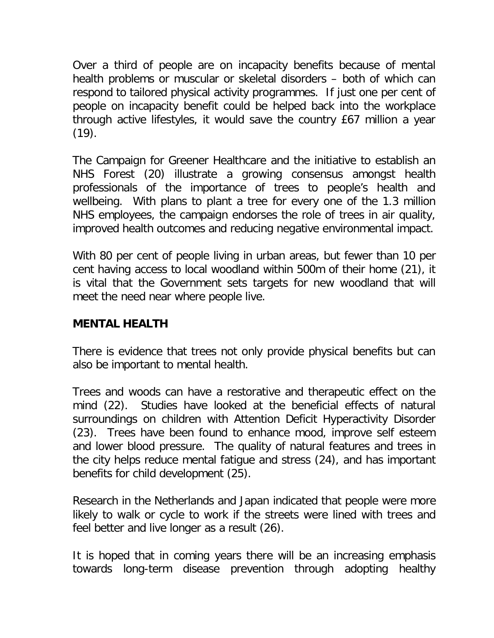Over a third of people are on incapacity benefits because of mental health problems or muscular or skeletal disorders – both of which can respond to tailored physical activity programmes. If just one per cent of people on incapacity benefit could be helped back into the workplace through active lifestyles, it would save the country £67 million a year  $(19)$ .

The Campaign for Greener Healthcare and the initiative to establish an NHS Forest (20) illustrate a growing consensus amongst health professionals of the importance of trees to people's health and wellbeing. With plans to plant a tree for every one of the 1.3 million NHS employees, the campaign endorses the role of trees in air quality, improved health outcomes and reducing negative environmental impact.

With 80 per cent of people living in urban areas, but fewer than 10 per cent having access to local woodland within 500m of their home (21), it is vital that the Government sets targets for new woodland that will meet the need near where people live.

## **MENTAL HEALTH**

There is evidence that trees not only provide physical benefits but can also be important to mental health.

Trees and woods can have a restorative and therapeutic effect on the mind (22). Studies have looked at the beneficial effects of natural surroundings on children with Attention Deficit Hyperactivity Disorder (23). Trees have been found to enhance mood, improve self esteem and lower blood pressure. The quality of natural features and trees in the city helps reduce mental fatigue and stress (24), and has important benefits for child development (25).

Research in the Netherlands and Japan indicated that people were more likely to walk or cycle to work if the streets were lined with trees and feel better and live longer as a result (26).

It is hoped that in coming years there will be an increasing emphasis towards long-term disease prevention through adopting healthy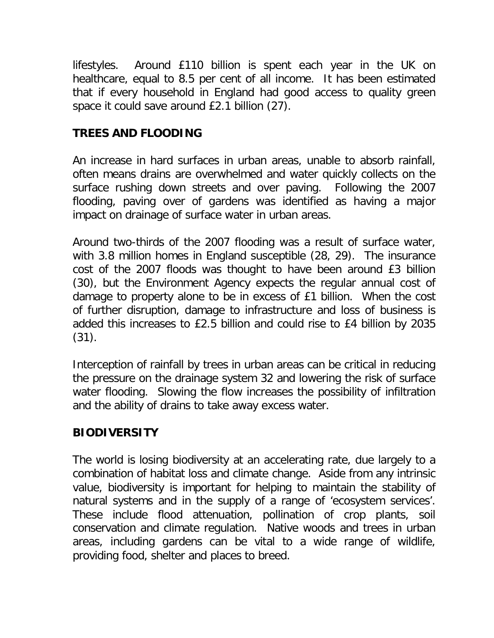lifestyles. Around £110 billion is spent each year in the UK on healthcare, equal to 8.5 per cent of all income. It has been estimated that if every household in England had good access to quality green space it could save around £2.1 billion (27).

# **TREES AND FLOODING**

An increase in hard surfaces in urban areas, unable to absorb rainfall, often means drains are overwhelmed and water quickly collects on the surface rushing down streets and over paving. Following the 2007 flooding, paving over of gardens was identified as having a major impact on drainage of surface water in urban areas.

Around two-thirds of the 2007 flooding was a result of surface water, with 3.8 million homes in England susceptible (28, 29). The insurance cost of the 2007 floods was thought to have been around £3 billion (30), but the Environment Agency expects the regular annual cost of damage to property alone to be in excess of £1 billion. When the cost of further disruption, damage to infrastructure and loss of business is added this increases to £2.5 billion and could rise to £4 billion by 2035 (31).

Interception of rainfall by trees in urban areas can be critical in reducing the pressure on the drainage system 32 and lowering the risk of surface water flooding. Slowing the flow increases the possibility of infiltration and the ability of drains to take away excess water.

# **BIODIVERSITY**

The world is losing biodiversity at an accelerating rate, due largely to a combination of habitat loss and climate change. Aside from any intrinsic value, biodiversity is important for helping to maintain the stability of natural systems and in the supply of a range of 'ecosystem services'. These include flood attenuation, pollination of crop plants, soil conservation and climate regulation. Native woods and trees in urban areas, including gardens can be vital to a wide range of wildlife, providing food, shelter and places to breed.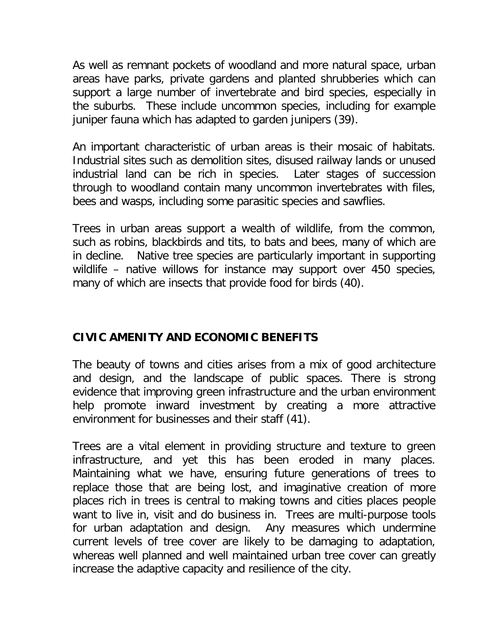As well as remnant pockets of woodland and more natural space, urban areas have parks, private gardens and planted shrubberies which can support a large number of invertebrate and bird species, especially in the suburbs. These include uncommon species, including for example juniper fauna which has adapted to garden junipers (39).

An important characteristic of urban areas is their mosaic of habitats. Industrial sites such as demolition sites, disused railway lands or unused industrial land can be rich in species. Later stages of succession through to woodland contain many uncommon invertebrates with files, bees and wasps, including some parasitic species and sawflies.

Trees in urban areas support a wealth of wildlife, from the common, such as robins, blackbirds and tits, to bats and bees, many of which are in decline. Native tree species are particularly important in supporting wildlife – native willows for instance may support over 450 species, many of which are insects that provide food for birds (40).

# **CIVIC AMENITY AND ECONOMIC BENEFITS**

The beauty of towns and cities arises from a mix of good architecture and design, and the landscape of public spaces. There is strong evidence that improving green infrastructure and the urban environment help promote inward investment by creating a more attractive environment for businesses and their staff (41).

Trees are a vital element in providing structure and texture to green infrastructure, and yet this has been eroded in many places. Maintaining what we have, ensuring future generations of trees to replace those that are being lost, and imaginative creation of more places rich in trees is central to making towns and cities places people want to live in, visit and do business in. Trees are multi-purpose tools for urban adaptation and design. Any measures which undermine current levels of tree cover are likely to be damaging to adaptation, whereas well planned and well maintained urban tree cover can greatly increase the adaptive capacity and resilience of the city.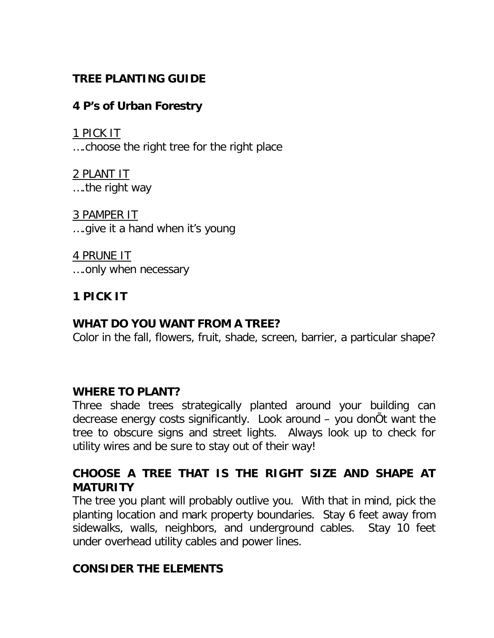## **TREE PLANTING GUIDE**

## **4 P's of Urban Forestry**

1 PICK IT ….choose the right tree for the right place

2 PLANT IT ….the right way

3 PAMPER IT ….give it a hand when it's young

4 PRUNE IT ….only when necessary

# **1 PICK IT**

## **WHAT DO YOU WANT FROM A TREE?**

Color in the fall, flowers, fruit, shade, screen, barrier, a particular shape?

## **WHERE TO PLANT?**

Three shade trees strategically planted around your building can decrease energy costs significantly. Look around – you donÕt want the tree to obscure signs and street lights. Always look up to check for utility wires and be sure to stay out of their way!

## **CHOOSE A TREE THAT IS THE RIGHT SIZE AND SHAPE AT MATURITY**

The tree you plant will probably outlive you. With that in mind, pick the planting location and mark property boundaries. Stay 6 feet away from sidewalks, walls, neighbors, and underground cables. Stay 10 feet under overhead utility cables and power lines.

## **CONSIDER THE ELEMENTS**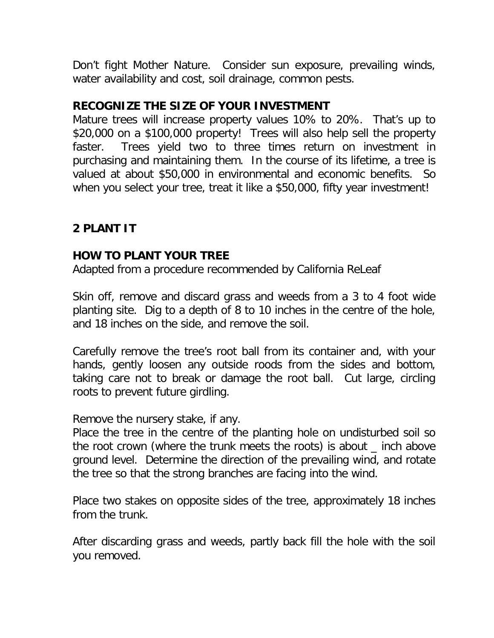Don't fight Mother Nature. Consider sun exposure, prevailing winds, water availability and cost, soil drainage, common pests.

### **RECOGNIZE THE SIZE OF YOUR INVESTMENT**

Mature trees will increase property values 10% to 20%. That's up to \$20,000 on a \$100,000 property! Trees will also help sell the property faster. Trees yield two to three times return on investment in purchasing and maintaining them. In the course of its lifetime, a tree is valued at about \$50,000 in environmental and economic benefits. So when you select your tree, treat it like a \$50,000, fifty year investment!

## **2 PLANT IT**

### **HOW TO PLANT YOUR TREE**

Adapted from a procedure recommended by California ReLeaf

Skin off, remove and discard grass and weeds from a 3 to 4 foot wide planting site. Dig to a depth of 8 to 10 inches in the centre of the hole, and 18 inches on the side, and remove the soil.

Carefully remove the tree's root ball from its container and, with your hands, gently loosen any outside roods from the sides and bottom, taking care not to break or damage the root ball. Cut large, circling roots to prevent future girdling.

Remove the nursery stake, if any.

Place the tree in the centre of the planting hole on undisturbed soil so the root crown (where the trunk meets the roots) is about \_ inch above ground level. Determine the direction of the prevailing wind, and rotate the tree so that the strong branches are facing into the wind.

Place two stakes on opposite sides of the tree, approximately 18 inches from the trunk.

After discarding grass and weeds, partly back fill the hole with the soil you removed.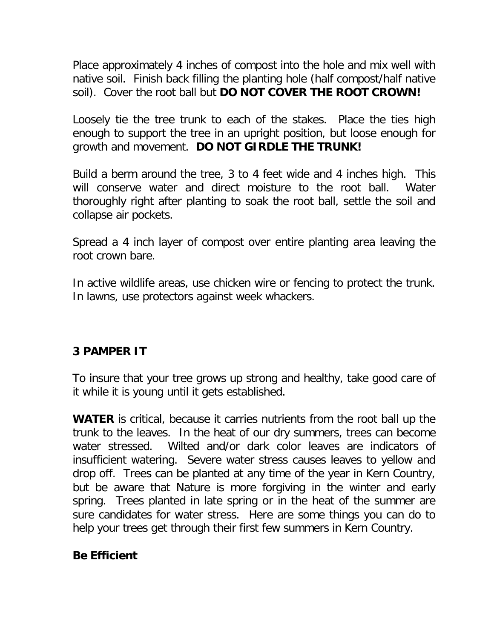Place approximately 4 inches of compost into the hole and mix well with native soil. Finish back filling the planting hole (half compost/half native soil). Cover the root ball but **DO NOT COVER THE ROOT CROWN!**

Loosely tie the tree trunk to each of the stakes. Place the ties high enough to support the tree in an upright position, but loose enough for growth and movement. **DO NOT GIRDLE THE TRUNK!**

Build a berm around the tree, 3 to 4 feet wide and 4 inches high. This will conserve water and direct moisture to the root ball. Water thoroughly right after planting to soak the root ball, settle the soil and collapse air pockets.

Spread a 4 inch layer of compost over entire planting area leaving the root crown bare.

In active wildlife areas, use chicken wire or fencing to protect the trunk. In lawns, use protectors against week whackers.

## **3 PAMPER IT**

To insure that your tree grows up strong and healthy, take good care of it while it is young until it gets established.

**WATER** is critical, because it carries nutrients from the root ball up the trunk to the leaves. In the heat of our dry summers, trees can become water stressed. Wilted and/or dark color leaves are indicators of insufficient watering. Severe water stress causes leaves to yellow and drop off. Trees can be planted at any time of the year in Kern Country, but be aware that Nature is more forgiving in the winter and early spring. Trees planted in late spring or in the heat of the summer are sure candidates for water stress. Here are some things you can do to help your trees get through their first few summers in Kern Country.

# **Be Efficient**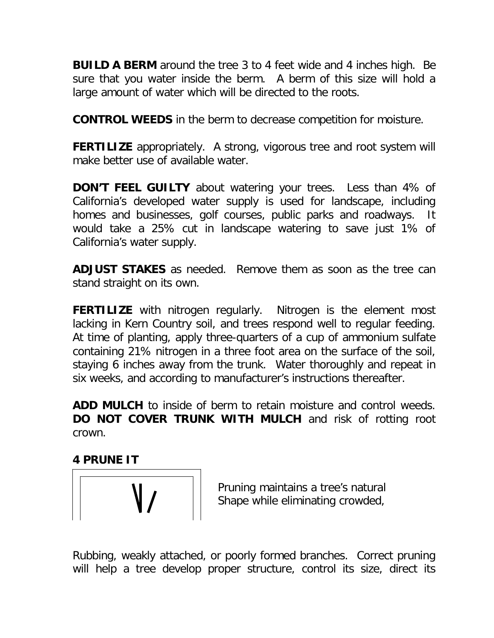**BUILD A BERM** around the tree 3 to 4 feet wide and 4 inches high. Be sure that you water inside the berm. A berm of this size will hold a large amount of water which will be directed to the roots.

**CONTROL WEEDS** in the berm to decrease competition for moisture.

**FERTILIZE** appropriately. A strong, vigorous tree and root system will make better use of available water.

**DON'T FEEL GUILTY** about watering your trees. Less than 4% of California's developed water supply is used for landscape, including homes and businesses, golf courses, public parks and roadways. It would take a 25% cut in landscape watering to save just 1% of California's water supply.

**ADJUST STAKES** as needed. Remove them as soon as the tree can stand straight on its own.

**FERTILIZE** with nitrogen regularly. Nitrogen is the element most lacking in Kern Country soil, and trees respond well to regular feeding. At time of planting, apply three-quarters of a cup of ammonium sulfate containing 21% nitrogen in a three foot area on the surface of the soil, staying 6 inches away from the trunk. Water thoroughly and repeat in six weeks, and according to manufacturer's instructions thereafter.

**ADD MULCH** to inside of berm to retain moisture and control weeds. **DO NOT COVER TRUNK WITH MULCH** and risk of rotting root crown.

**4 PRUNE IT**



Pruning maintains a tree's natural Shape while eliminating crowded,

Rubbing, weakly attached, or poorly formed branches. Correct pruning will help a tree develop proper structure, control its size, direct its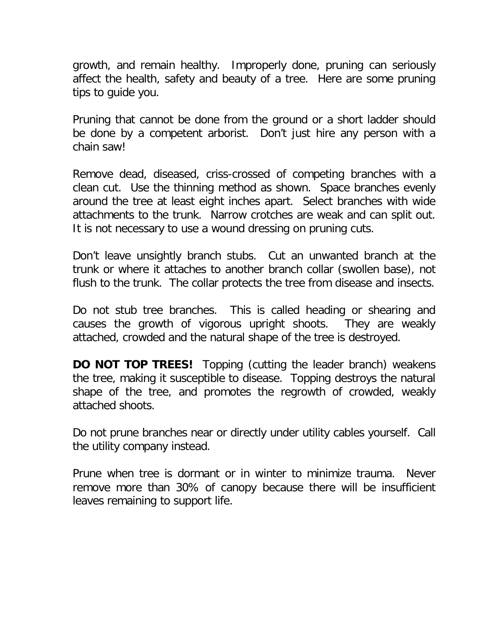growth, and remain healthy. Improperly done, pruning can seriously affect the health, safety and beauty of a tree. Here are some pruning tips to guide you.

Pruning that cannot be done from the ground or a short ladder should be done by a competent arborist. Don't just hire any person with a chain saw!

Remove dead, diseased, criss-crossed of competing branches with a clean cut. Use the thinning method as shown. Space branches evenly around the tree at least eight inches apart. Select branches with wide attachments to the trunk. Narrow crotches are weak and can split out. It is not necessary to use a wound dressing on pruning cuts.

Don't leave unsightly branch stubs. Cut an unwanted branch at the trunk or where it attaches to another branch collar (swollen base), not flush to the trunk. The collar protects the tree from disease and insects.

Do not stub tree branches. This is called heading or shearing and causes the growth of vigorous upright shoots. They are weakly attached, crowded and the natural shape of the tree is destroyed.

**DO NOT TOP TREES!** Topping (cutting the leader branch) weakens the tree, making it susceptible to disease. Topping destroys the natural shape of the tree, and promotes the regrowth of crowded, weakly attached shoots.

Do not prune branches near or directly under utility cables yourself. Call the utility company instead.

Prune when tree is dormant or in winter to minimize trauma. Never remove more than 30% of canopy because there will be insufficient leaves remaining to support life.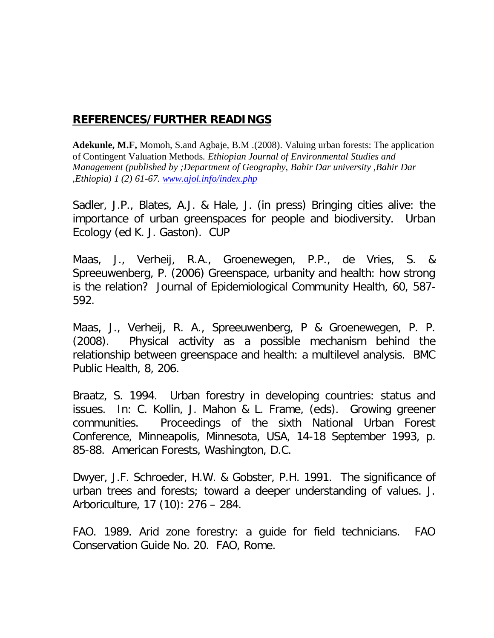#### **REFERENCES/FURTHER READINGS**

**Adekunle, M.F,** Momoh, S.and Agbaje, B.M .(2008). Valuing urban forests: The application of Contingent Valuation Methods*. Ethiopian Journal of Environmental Studies and Management (published by ;Department of Geography, Bahir Dar university ,Bahir Dar ,Ethiopia) 1 (2) 61-67. www.ajol.info/index.php*

Sadler, J.P., Blates, A.J. & Hale, J. (in press) Bringing cities alive: the importance of urban greenspaces for people and biodiversity. Urban Ecology (ed K. J. Gaston). CUP

Maas, J., Verheij, R.A., Groenewegen, P.P., de Vries, S. & Spreeuwenberg, P. (2006) Greenspace, urbanity and health: how strong is the relation? Journal of Epidemiological Community Health, 60, 587- 592.

Maas, J., Verheij, R. A., Spreeuwenberg, P & Groenewegen, P. P. (2008). Physical activity as a possible mechanism behind the relationship between greenspace and health: a multilevel analysis. BMC Public Health, 8, 206.

Braatz, S. 1994. Urban forestry in developing countries: status and issues. In: C. Kollin, J. Mahon & L. Frame, (eds). Growing greener communities. Proceedings of the sixth National Urban Forest Conference, Minneapolis, Minnesota, USA, 14-18 September 1993, p. 85-88. American Forests, Washington, D.C.

Dwyer, J.F. Schroeder, H.W. & Gobster, P.H. 1991. The significance of urban trees and forests; toward a deeper understanding of values. J. Arboriculture, 17 (10): 276 – 284.

FAO. 1989. Arid zone forestry: a guide for field technicians. FAO Conservation Guide No. 20. FAO, Rome.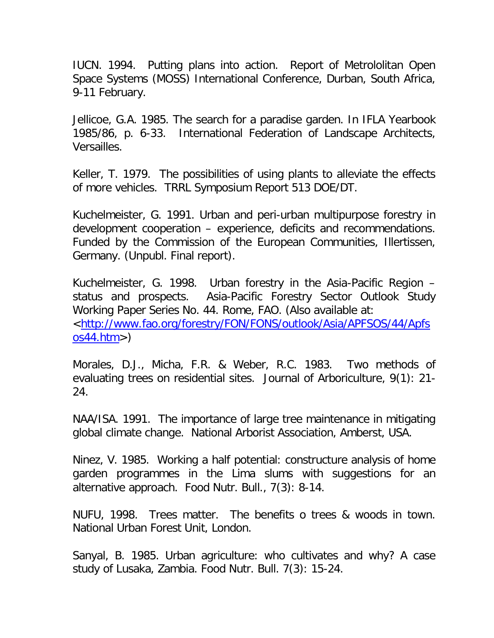IUCN. 1994. Putting plans into action. Report of Metrololitan Open Space Systems (MOSS) International Conference, Durban, South Africa, 9-11 February.

Jellicoe, G.A. 1985. The search for a paradise garden. In IFLA Yearbook 1985/86, p. 6-33. International Federation of Landscape Architects, Versailles.

Keller, T. 1979. The possibilities of using plants to alleviate the effects of more vehicles. TRRL Symposium Report 513 DOE/DT.

Kuchelmeister, G. 1991. Urban and peri-urban multipurpose forestry in development cooperation – experience, deficits and recommendations. Funded by the Commission of the European Communities, Illertissen, Germany. (Unpubl. Final report).

Kuchelmeister, G. 1998. Urban forestry in the Asia-Pacific Region – status and prospects. Asia-Pacific Forestry Sector Outlook Study Working Paper Series No. 44. Rome, FAO. (Also available at: <http://www.fao.org/forestry/FON/FONS/outlook/Asia/APFSOS/44/Apfs  $os44.htm$ 

Morales, D.J., Micha, F.R. & Weber, R.C. 1983. Two methods of evaluating trees on residential sites. Journal of Arboriculture, 9(1): 21- 24.

NAA/ISA. 1991. The importance of large tree maintenance in mitigating global climate change. National Arborist Association, Amberst, USA.

Ninez, V. 1985. Working a half potential: constructure analysis of home garden programmes in the Lima slums with suggestions for an alternative approach. Food Nutr. Bull., 7(3): 8-14.

NUFU, 1998. Trees matter. The benefits o trees & woods in town. National Urban Forest Unit, London.

Sanyal, B. 1985. Urban agriculture: who cultivates and why? A case study of Lusaka, Zambia. Food Nutr. Bull. 7(3): 15-24.